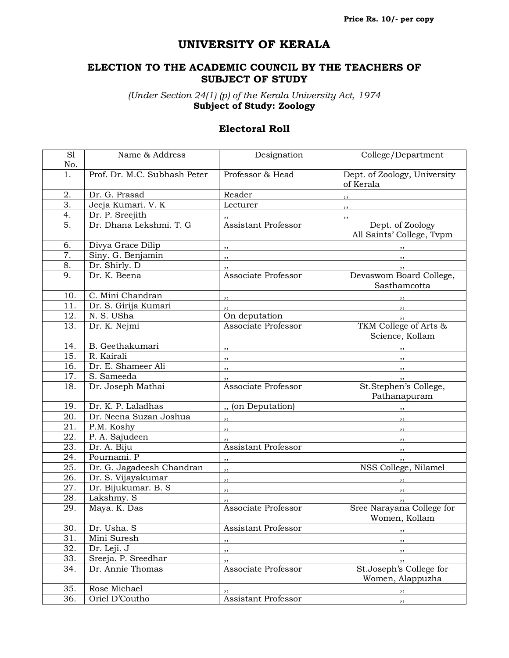## **UNIVERSITY OF KERALA**

## **ELECTION TO THE ACADEMIC COUNCIL BY THE TEACHERS OF SUBJECT OF STUDY**

*(Under Section 24(1) (p) of the Kerala University Act, 1974* **Subject of Study: Zoology**

## **Electoral Roll**

| S1                | Name & Address               | Designation                | College/Department                            |
|-------------------|------------------------------|----------------------------|-----------------------------------------------|
| No.               |                              |                            |                                               |
| 1.                | Prof. Dr. M.C. Subhash Peter | Professor & Head           | Dept. of Zoology, University<br>of Kerala     |
| 2.                | Dr. G. Prasad                | Reader                     | ,,                                            |
| $\overline{3}$ .  | Jeeja Kumari. V. K           | Lecturer                   | ,,                                            |
| $\overline{4}$ .  | Dr. P. Sreejith              |                            | ,,                                            |
| $\overline{5}$ .  | Dr. Dhana Lekshmi. T. G      | Assistant Professor        | Dept. of Zoology<br>All Saints' College, Tvpm |
| 6.                | Divya Grace Dilip            | ,,                         | , ,                                           |
| 7.                | Siny. G. Benjamin            | $\overline{\phantom{a}}$   | $, \,$                                        |
| 8.                | Dr. Shirly. D                | ,,                         |                                               |
| 9.                | Dr. K. Beena                 | Associate Professor        | Devaswom Board College,<br>Sasthamcotta       |
| 10.               | C. Mini Chandran             | ,,                         |                                               |
| 11.               | Dr. S. Girija Kumari         | $, \, \,$                  |                                               |
| 12.               | N.S. USha                    | On deputation              | ,,                                            |
| 13.               | Dr. K. Nejmi                 | Associate Professor        | TKM College of Arts &<br>Science, Kollam      |
| 14.               | B. Geethakumari              | ,,                         |                                               |
| 15.               | R. Kairali                   | $, \underline{,}$          |                                               |
| 16.               | Dr. E. Shameer Ali           | ,,                         | , ,                                           |
| 17.               | S. Sameeda                   |                            | , ,                                           |
| 18.               | Dr. Joseph Mathai            | Associate Professor        | St.Stephen's College,<br>Pathanapuram         |
| 19.               | Dr. K. P. Laladhas           | ,, (on Deputation)         |                                               |
| 20.               | Dr. Neena Suzan Joshua       | $, \,$                     | $\overline{\phantom{a}}$                      |
| 21.               | P.M. Koshy                   | ,,                         | $, \, \,$                                     |
| 22.               | P. A. Sajudeen               | ,,                         | $\overline{\phantom{a}}$                      |
| 23.               | Dr. A. Biju                  | <b>Assistant Professor</b> | $\overline{\phantom{a}}$                      |
| 24.               | Pournami. P                  | $\overline{\phantom{a}}$   |                                               |
| 25.               | Dr. G. Jagadeesh Chandran    | $\overline{\phantom{a}}$   | NSS College, Nilamel                          |
| 26.               | Dr. S. Vijayakumar           | $, \, \, \cdot$            |                                               |
| 27.               | Dr. Bijukumar. B. S          | ,,                         |                                               |
| $\overline{28}$ . | Lakshmy. S                   | ,,                         | , ,                                           |
| 29.               | Maya. K. Das                 | Associate Professor        | Sree Narayana College for<br>Women, Kollam    |
| 30.               | Dr. Usha. S                  | Assistant Professor        | ,,                                            |
| 31.               | Mini Suresh                  | ,,                         | , ,                                           |
| $\overline{32}$ . | Dr. Leji. J                  | ,,                         | $, \,$                                        |
| 33.               | Sreeja. P. Sreedhar          | ,,                         | ,,                                            |
| 34.               | Dr. Annie Thomas             | Associate Professor        | St.Joseph's College for<br>Women, Alappuzha   |
| 35.               | Rose Michael                 |                            | $, \,$                                        |
| 36.               | Oriel D'Coutho               | <b>Assistant Professor</b> | , ,                                           |
|                   |                              |                            |                                               |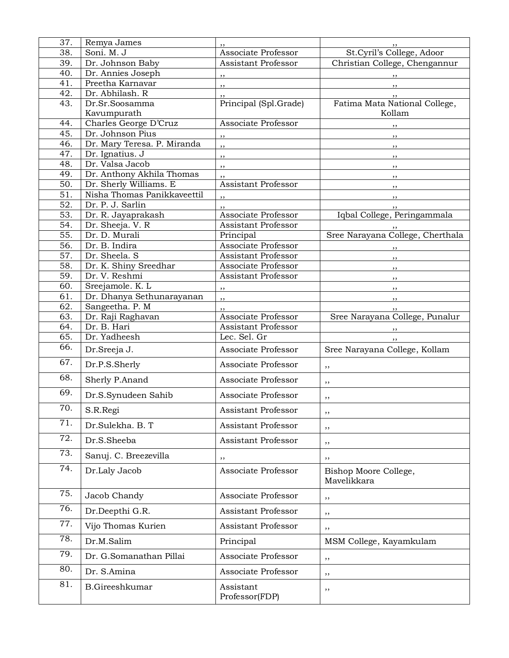| 37.        | Remya James                                    |                            |                                      |
|------------|------------------------------------------------|----------------------------|--------------------------------------|
| 38.        | Soni. M. J                                     | Associate Professor        | St.Cyril's College, Adoor            |
| 39.        | Dr. Johnson Baby                               | Assistant Professor        | Christian College, Chengannur        |
| 40.        | Dr. Annies Joseph                              | ,,                         |                                      |
| 41.        | Preetha Karnavar                               | ,,                         | ,,                                   |
| 42.        | Dr. Abhilash. R                                |                            |                                      |
| 43.        | Dr.Sr.Soosamma                                 | Principal (Spl.Grade)      | Fatima Mata National College,        |
|            | Kavumpurath                                    |                            | Kollam                               |
| 44.        | Charles George D'Cruz<br>Dr. Johnson Pius      | Associate Professor        | ,,                                   |
| 45.<br>46. |                                                | ,,                         | ,,                                   |
| 47.        | Dr. Mary Teresa. P. Miranda<br>Dr. Ignatius. J | ,,                         | $, \,$                               |
| 48.        | Dr. Valsa Jacob                                | $, \,$                     | $, \,$                               |
| 49.        | Dr. Anthony Akhila Thomas                      | ,,                         | , ,                                  |
| 50.        | Dr. Sherly Williams. E                         | ,,<br>Assistant Professor  | ,,                                   |
| 51.        | Nisha Thomas Panikkaveettil                    | , ,                        | ,,<br>,,                             |
| 52.        | Dr. P. J. Sarlin                               |                            |                                      |
| 53.        | Dr. R. Jayaprakash                             | Associate Professor        | Iqbal College, Peringammala          |
| 54.        | Dr. Sheeja. V. R                               | Assistant Professor        |                                      |
| 55.        | Dr. D. Murali                                  | Principal                  | Sree Narayana College, Cherthala     |
| 56.        | Dr. B. Indira                                  | Associate Professor        |                                      |
| 57.        | Dr. Sheela. S                                  | <b>Assistant Professor</b> | ,,                                   |
| 58.        | Dr. K. Shiny Sreedhar                          | Associate Professor        | ,,                                   |
| 59.        | Dr. V. Reshmi                                  | Assistant Professor        | $, \,$                               |
| 60.        | Sreejamole. K. L                               | $, \,$                     |                                      |
| 61.        | Dr. Dhanya Sethunarayanan                      | ,,                         |                                      |
| 62.        | Sangeetha. P. M                                | ,,                         |                                      |
| 63.        | Dr. Raji Raghavan                              | Associate Professor        | Sree Narayana College, Punalur       |
| 64.        | Dr. B. Hari                                    | Assistant Professor        | $, \, \, \cdot$                      |
| 65.        | Dr. Yadheesh                                   | Lec. Sel. Gr               | $, \,$                               |
| 66.        | Dr.Sreeja J.                                   | Associate Professor        | Sree Narayana College, Kollam        |
| 67.        | Dr.P.S.Sherly                                  | Associate Professor        | ,,                                   |
| 68.        | Sherly P.Anand                                 | Associate Professor        | ,,                                   |
| 69.        | Dr.S.Synudeen Sahib                            | Associate Professor        | ,,                                   |
| 70.        | S.R.Regi                                       | Assistant Professor        | ,,                                   |
| 71.        | Dr.Sulekha. B. T                               | Assistant Professor        | ,,                                   |
| 72.        | Dr.S.Sheeba                                    | <b>Assistant Professor</b> | ,,                                   |
| 73.        | Sanuj. C. Breezevilla                          | ,,                         | ,,                                   |
| 74.        | Dr.Laly Jacob                                  | Associate Professor        | Bishop Moore College,<br>Mavelikkara |
| 75.        | Jacob Chandy                                   | Associate Professor        | ,,                                   |
| 76.        | Dr.Deepthi G.R.                                | Assistant Professor        | ,,                                   |
| 77.        | Vijo Thomas Kurien                             | Assistant Professor        | ,,                                   |
| 78.        | Dr.M.Salim                                     | Principal                  | MSM College, Kayamkulam              |
| 79.        | Dr. G.Somanathan Pillai                        | Associate Professor        | ,,                                   |
| 80.        | Dr. S.Amina                                    | Associate Professor        | ,,                                   |
| 81.        | <b>B.Gireeshkumar</b>                          | Assistant                  | ,,                                   |
|            |                                                | Professor(FDP)             |                                      |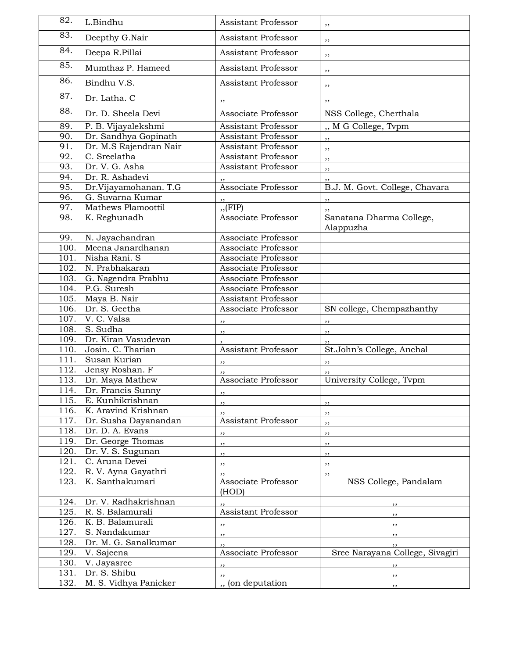| 82.  | L.Bindhu                                  | Assistant Professor          | ,,                                    |
|------|-------------------------------------------|------------------------------|---------------------------------------|
| 83.  | Deepthy G.Nair                            | Assistant Professor          | ,,                                    |
| 84.  | Deepa R.Pillai                            | Assistant Professor          | ,,                                    |
| 85.  | Mumthaz P. Hameed                         | Assistant Professor          | ,,                                    |
| 86.  | Bindhu V.S.                               | Assistant Professor          | ,,                                    |
| 87.  | Dr. Latha. C                              |                              |                                       |
| 88.  | Dr. D. Sheela Devi                        | ,,<br>Associate Professor    | ,,<br>NSS College, Cherthala          |
| 89.  | P. B. Vijayalekshmi                       | Assistant Professor          |                                       |
| 90.  | Dr. Sandhya Gopinath                      | Assistant Professor          | "M G College, Tvpm                    |
| 91.  | Dr. M.S Rajendran Nair                    | Assistant Professor          | $, \,$                                |
| 92.  | C. Sreelatha                              | <b>Assistant Professor</b>   | ,,                                    |
| 93.  |                                           |                              | ,,                                    |
| 94.  | Dr. V. G. Asha<br>Dr. R. Ashadevi         | Assistant Professor          | ,,                                    |
|      |                                           | Associate Professor          | ,,                                    |
| 95.  | Dr.Vijayamohanan. T.G<br>G. Suvarna Kumar |                              | B.J. M. Govt. College, Chavara        |
| 96.  |                                           |                              | , ,                                   |
| 97.  | Mathews Plamoottil                        | , (FIP)                      | ,,                                    |
| 98.  | K. Reghunadh                              | Associate Professor          | Sanatana Dharma College,<br>Alappuzha |
| 99.  | N. Jayachandran                           | Associate Professor          |                                       |
| 100. | Meena Janardhanan                         | Associate Professor          |                                       |
| 101. | Nisha Rani. S                             | Associate Professor          |                                       |
| 102. | N. Prabhakaran                            | Associate Professor          |                                       |
| 103. | G. Nagendra Prabhu                        | Associate Professor          |                                       |
| 104. | P.G. Suresh                               | Associate Professor          |                                       |
| 105. | Maya B. Nair                              | Assistant Professor          |                                       |
| 106. | Dr. S. Geetha                             | Associate Professor          | SN college, Chempazhanthy             |
| 107. | V. C. Valsa                               | ,,                           | ,,                                    |
| 108. | S. Sudha                                  | ,,                           | ,,                                    |
| 109. | Dr. Kiran Vasudevan                       |                              |                                       |
| 110. | Josin. C. Tharian                         | Assistant Professor          | St.John's College, Anchal             |
| 111. | Susan Kurian                              | , ,                          | ,,                                    |
| 112. | Jensy Roshan. F                           |                              |                                       |
| 113. | Dr. Maya Mathew                           | Associate Professor          | University College, Tvpm              |
| 114. | Dr. Francis Sunny                         | ,,                           |                                       |
| 115. | E. Kunhikrishnan                          | , ,                          | ,,                                    |
| 116. | K. Aravind Krishnan                       | ,,                           | $, \,$                                |
| 117. | Dr. Susha Dayanandan                      | <b>Assistant Professor</b>   | ,,                                    |
| 118. | Dr. D. A. Evans                           | $, \,$                       | $, \,$                                |
| 119. | Dr. George Thomas                         | $, \,$                       | $, \,$                                |
| 120. | Dr. V. S. Sugunan                         | , ,                          | ,,                                    |
| 121. | C. Aruna Devei                            | $, \,$                       | ,,                                    |
| 122. | R. V. Ayna Gayathri                       | $, \,$                       | ,,                                    |
| 123. | K. Santhakumari                           | Associate Professor<br>(HOD) | NSS College, Pandalam                 |
| 124. | Dr. V. Radhakrishnan                      |                              |                                       |
| 125. | R. S. Balamurali                          | Assistant Professor          |                                       |
| 126. | K. B. Balamurali                          | $\frac{1}{2}$                | , ,                                   |
| 127. | S. Nandakumar                             | ,,                           | $, \, \,$                             |
| 128. | Dr. M. G. Sanalkumar                      | ,,                           | , ,                                   |
| 129. | V. Sajeena                                | Associate Professor          | Sree Narayana College, Sivagiri       |
| 130. | V. Jayasree                               | ,,                           | $\overline{\phantom{a}}$              |
| 131. | Dr. S. Shibu                              |                              | $, \, \, \cdot$                       |
| 132. | M. S. Vidhya Panicker                     | ", (on deputation            | $, \, \, \cdot$                       |